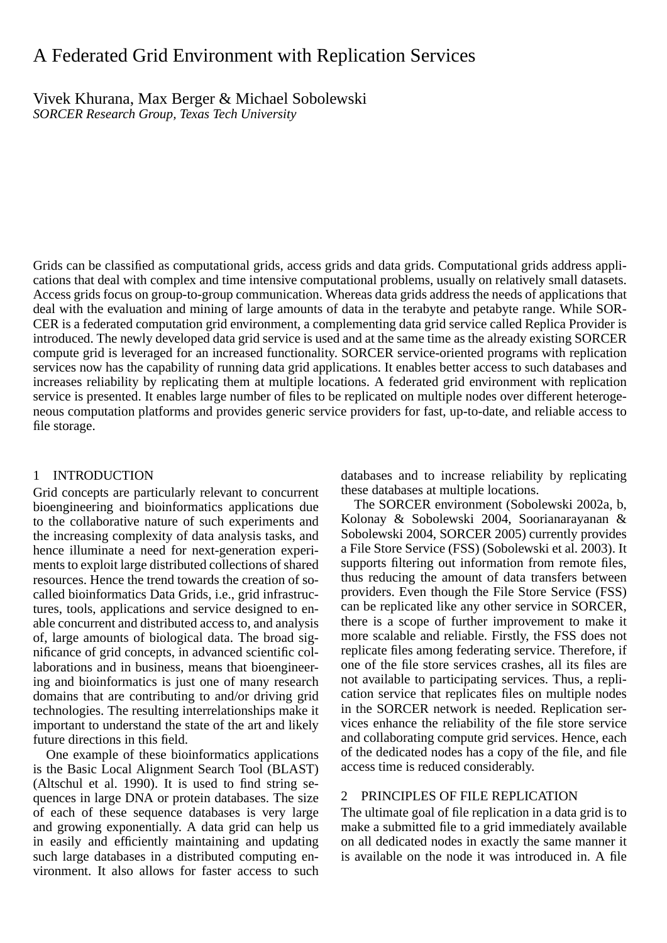# A Federated Grid Environment with Replication Services

Vivek Khurana, Max Berger & Michael Sobolewski *SORCER Research Group, Texas Tech University*

Grids can be classified as computational grids, access grids and data grids. Computational grids address applications that deal with complex and time intensive computational problems, usually on relatively small datasets. Access grids focus on group-to-group communication. Whereas data grids address the needs of applications that deal with the evaluation and mining of large amounts of data in the terabyte and petabyte range. While SOR-CER is a federated computation grid environment, a complementing data grid service called Replica Provider is introduced. The newly developed data grid service is used and at the same time as the already existing SORCER compute grid is leveraged for an increased functionality. SORCER service-oriented programs with replication services now has the capability of running data grid applications. It enables better access to such databases and increases reliability by replicating them at multiple locations. A federated grid environment with replication service is presented. It enables large number of files to be replicated on multiple nodes over different heterogeneous computation platforms and provides generic service providers for fast, up-to-date, and reliable access to file storage.

## 1 INTRODUCTION

Grid concepts are particularly relevant to concurrent bioengineering and bioinformatics applications due to the collaborative nature of such experiments and the increasing complexity of data analysis tasks, and hence illuminate a need for next-generation experiments to exploit large distributed collections of shared resources. Hence the trend towards the creation of socalled bioinformatics Data Grids, i.e., grid infrastructures, tools, applications and service designed to enable concurrent and distributed access to, and analysis of, large amounts of biological data. The broad significance of grid concepts, in advanced scientific collaborations and in business, means that bioengineering and bioinformatics is just one of many research domains that are contributing to and/or driving grid technologies. The resulting interrelationships make it important to understand the state of the art and likely future directions in this field.

One example of these bioinformatics applications is the Basic Local Alignment Search Tool (BLAST) (Altschul et al. 1990). It is used to find string sequences in large DNA or protein databases. The size of each of these sequence databases is very large and growing exponentially. A data grid can help us in easily and efficiently maintaining and updating such large databases in a distributed computing environment. It also allows for faster access to such databases and to increase reliability by replicating these databases at multiple locations.

The SORCER environment (Sobolewski 2002a, b, Kolonay & Sobolewski 2004, Soorianarayanan & Sobolewski 2004, SORCER 2005) currently provides a File Store Service (FSS) (Sobolewski et al. 2003). It supports filtering out information from remote files, thus reducing the amount of data transfers between providers. Even though the File Store Service (FSS) can be replicated like any other service in SORCER, there is a scope of further improvement to make it more scalable and reliable. Firstly, the FSS does not replicate files among federating service. Therefore, if one of the file store services crashes, all its files are not available to participating services. Thus, a replication service that replicates files on multiple nodes in the SORCER network is needed. Replication services enhance the reliability of the file store service and collaborating compute grid services. Hence, each of the dedicated nodes has a copy of the file, and file access time is reduced considerably.

## 2 PRINCIPLES OF FILE REPLICATION

The ultimate goal of file replication in a data grid is to make a submitted file to a grid immediately available on all dedicated nodes in exactly the same manner it is available on the node it was introduced in. A file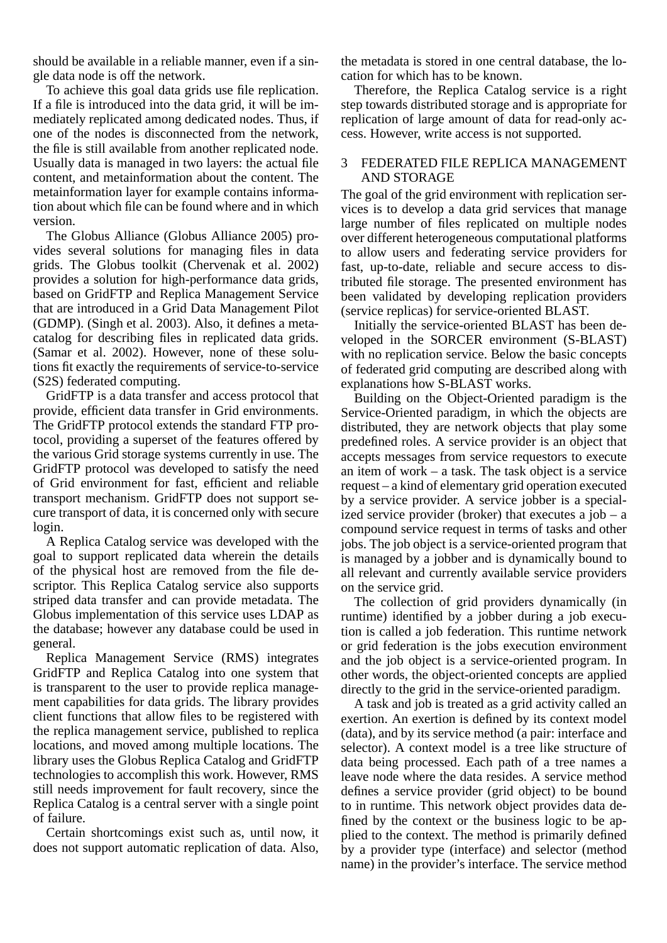should be available in a reliable manner, even if a single data node is off the network.

To achieve this goal data grids use file replication. If a file is introduced into the data grid, it will be immediately replicated among dedicated nodes. Thus, if one of the nodes is disconnected from the network, the file is still available from another replicated node. Usually data is managed in two layers: the actual file content, and metainformation about the content. The metainformation layer for example contains information about which file can be found where and in which version.

The Globus Alliance (Globus Alliance 2005) provides several solutions for managing files in data grids. The Globus toolkit (Chervenak et al. 2002) provides a solution for high-performance data grids, based on GridFTP and Replica Management Service that are introduced in a Grid Data Management Pilot (GDMP). (Singh et al. 2003). Also, it defines a metacatalog for describing files in replicated data grids. (Samar et al. 2002). However, none of these solutions fit exactly the requirements of service-to-service (S2S) federated computing.

GridFTP is a data transfer and access protocol that provide, efficient data transfer in Grid environments. The GridFTP protocol extends the standard FTP protocol, providing a superset of the features offered by the various Grid storage systems currently in use. The GridFTP protocol was developed to satisfy the need of Grid environment for fast, efficient and reliable transport mechanism. GridFTP does not support secure transport of data, it is concerned only with secure login.

A Replica Catalog service was developed with the goal to support replicated data wherein the details of the physical host are removed from the file descriptor. This Replica Catalog service also supports striped data transfer and can provide metadata. The Globus implementation of this service uses LDAP as the database; however any database could be used in general.

Replica Management Service (RMS) integrates GridFTP and Replica Catalog into one system that is transparent to the user to provide replica management capabilities for data grids. The library provides client functions that allow files to be registered with the replica management service, published to replica locations, and moved among multiple locations. The library uses the Globus Replica Catalog and GridFTP technologies to accomplish this work. However, RMS still needs improvement for fault recovery, since the Replica Catalog is a central server with a single point of failure.

Certain shortcomings exist such as, until now, it does not support automatic replication of data. Also,

the metadata is stored in one central database, the location for which has to be known.

Therefore, the Replica Catalog service is a right step towards distributed storage and is appropriate for replication of large amount of data for read-only access. However, write access is not supported.

## 3 FEDERATED FILE REPLICA MANAGEMENT AND STORAGE

The goal of the grid environment with replication services is to develop a data grid services that manage large number of files replicated on multiple nodes over different heterogeneous computational platforms to allow users and federating service providers for fast, up-to-date, reliable and secure access to distributed file storage. The presented environment has been validated by developing replication providers (service replicas) for service-oriented BLAST.

Initially the service-oriented BLAST has been developed in the SORCER environment (S-BLAST) with no replication service. Below the basic concepts of federated grid computing are described along with explanations how S-BLAST works.

Building on the Object-Oriented paradigm is the Service-Oriented paradigm, in which the objects are distributed, they are network objects that play some predefined roles. A service provider is an object that accepts messages from service requestors to execute an item of work – a task. The task object is a service request – a kind of elementary grid operation executed by a service provider. A service jobber is a specialized service provider (broker) that executes a  $job - a$ compound service request in terms of tasks and other jobs. The job object is a service-oriented program that is managed by a jobber and is dynamically bound to all relevant and currently available service providers on the service grid.

The collection of grid providers dynamically (in runtime) identified by a jobber during a job execution is called a job federation. This runtime network or grid federation is the jobs execution environment and the job object is a service-oriented program. In other words, the object-oriented concepts are applied directly to the grid in the service-oriented paradigm.

A task and job is treated as a grid activity called an exertion. An exertion is defined by its context model (data), and by its service method (a pair: interface and selector). A context model is a tree like structure of data being processed. Each path of a tree names a leave node where the data resides. A service method defines a service provider (grid object) to be bound to in runtime. This network object provides data defined by the context or the business logic to be applied to the context. The method is primarily defined by a provider type (interface) and selector (method name) in the provider's interface. The service method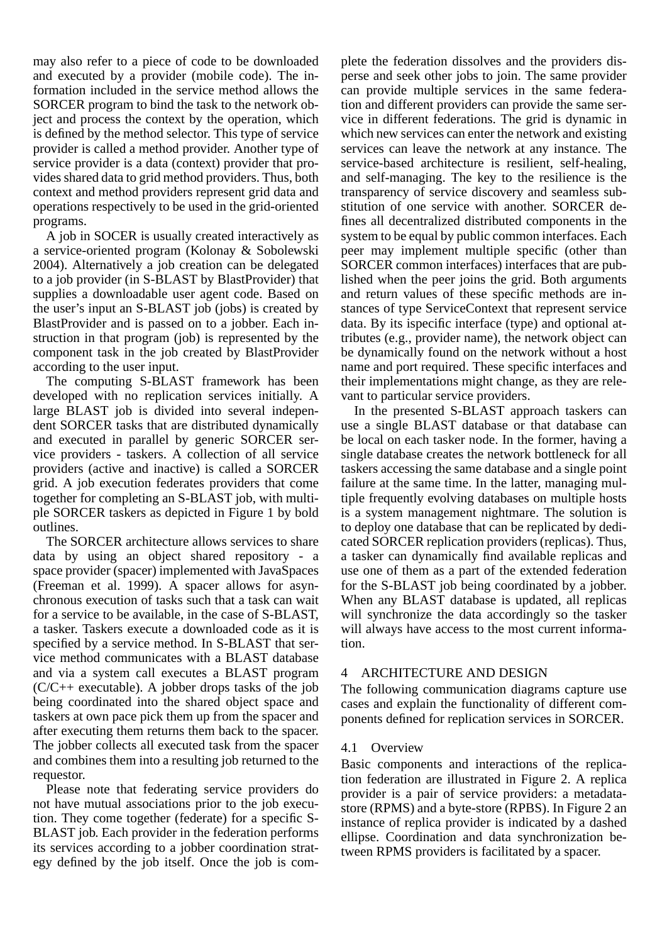may also refer to a piece of code to be downloaded and executed by a provider (mobile code). The information included in the service method allows the SORCER program to bind the task to the network object and process the context by the operation, which is defined by the method selector. This type of service provider is called a method provider. Another type of service provider is a data (context) provider that provides shared data to grid method providers. Thus, both context and method providers represent grid data and operations respectively to be used in the grid-oriented programs.

A job in SOCER is usually created interactively as a service-oriented program (Kolonay & Sobolewski 2004). Alternatively a job creation can be delegated to a job provider (in S-BLAST by BlastProvider) that supplies a downloadable user agent code. Based on the user's input an S-BLAST job (jobs) is created by BlastProvider and is passed on to a jobber. Each instruction in that program (job) is represented by the component task in the job created by BlastProvider according to the user input.

The computing S-BLAST framework has been developed with no replication services initially. A large BLAST job is divided into several independent SORCER tasks that are distributed dynamically and executed in parallel by generic SORCER service providers - taskers. A collection of all service providers (active and inactive) is called a SORCER grid. A job execution federates providers that come together for completing an S-BLAST job, with multiple SORCER taskers as depicted in Figure 1 by bold outlines.

The SORCER architecture allows services to share data by using an object shared repository - a space provider (spacer) implemented with JavaSpaces (Freeman et al. 1999). A spacer allows for asynchronous execution of tasks such that a task can wait for a service to be available, in the case of S-BLAST, a tasker. Taskers execute a downloaded code as it is specified by a service method. In S-BLAST that service method communicates with a BLAST database and via a system call executes a BLAST program  $(C/C++$  executable). A jobber drops tasks of the job being coordinated into the shared object space and taskers at own pace pick them up from the spacer and after executing them returns them back to the spacer. The jobber collects all executed task from the spacer and combines them into a resulting job returned to the requestor.

Please note that federating service providers do not have mutual associations prior to the job execution. They come together (federate) for a specific S-BLAST job. Each provider in the federation performs its services according to a jobber coordination strategy defined by the job itself. Once the job is complete the federation dissolves and the providers disperse and seek other jobs to join. The same provider can provide multiple services in the same federation and different providers can provide the same service in different federations. The grid is dynamic in which new services can enter the network and existing services can leave the network at any instance. The service-based architecture is resilient, self-healing, and self-managing. The key to the resilience is the transparency of service discovery and seamless substitution of one service with another. SORCER defines all decentralized distributed components in the system to be equal by public common interfaces. Each peer may implement multiple specific (other than SORCER common interfaces) interfaces that are published when the peer joins the grid. Both arguments and return values of these specific methods are instances of type ServiceContext that represent service data. By its ispecific interface (type) and optional attributes (e.g., provider name), the network object can be dynamically found on the network without a host name and port required. These specific interfaces and their implementations might change, as they are relevant to particular service providers.

In the presented S-BLAST approach taskers can use a single BLAST database or that database can be local on each tasker node. In the former, having a single database creates the network bottleneck for all taskers accessing the same database and a single point failure at the same time. In the latter, managing multiple frequently evolving databases on multiple hosts is a system management nightmare. The solution is to deploy one database that can be replicated by dedicated SORCER replication providers (replicas). Thus, a tasker can dynamically find available replicas and use one of them as a part of the extended federation for the S-BLAST job being coordinated by a jobber. When any BLAST database is updated, all replicas will synchronize the data accordingly so the tasker will always have access to the most current information.

## 4 ARCHITECTURE AND DESIGN

The following communication diagrams capture use cases and explain the functionality of different components defined for replication services in SORCER.

# 4.1 Overview

Basic components and interactions of the replication federation are illustrated in Figure 2. A replica provider is a pair of service providers: a metadatastore (RPMS) and a byte-store (RPBS). In Figure 2 an instance of replica provider is indicated by a dashed ellipse. Coordination and data synchronization between RPMS providers is facilitated by a spacer.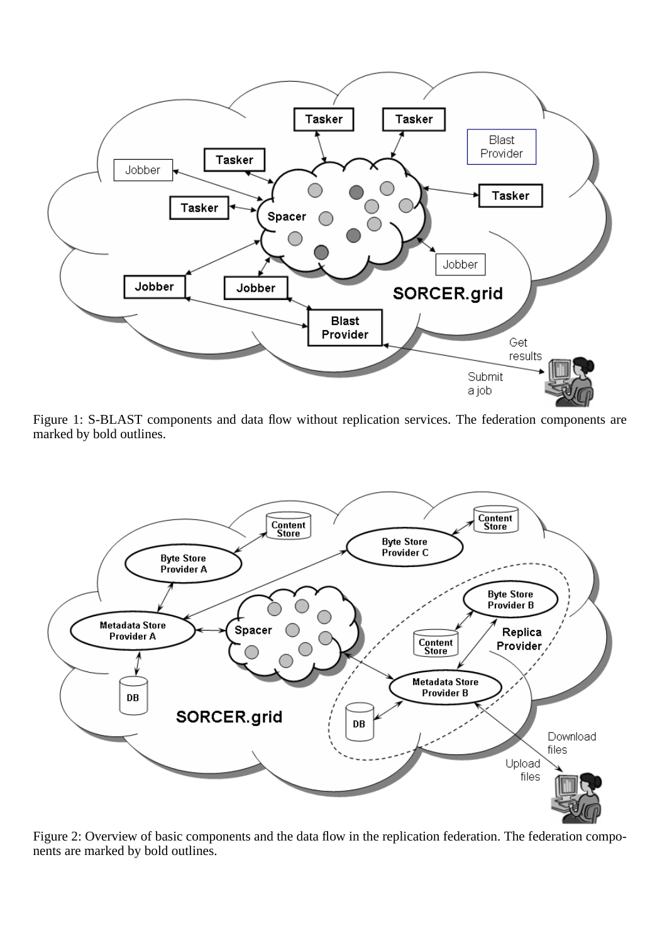

Figure 1: S-BLAST components and data flow without replication services. The federation components are marked by bold outlines.



Figure 2: Overview of basic components and the data flow in the replication federation. The federation components are marked by bold outlines.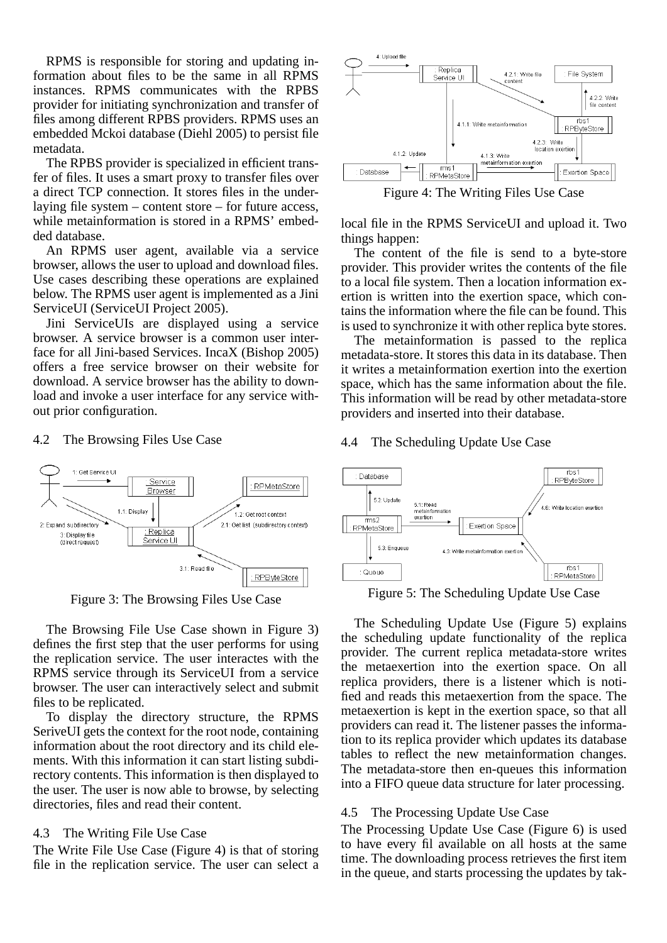RPMS is responsible for storing and updating information about files to be the same in all RPMS instances. RPMS communicates with the RPBS provider for initiating synchronization and transfer of files among different RPBS providers. RPMS uses an embedded Mckoi database (Diehl 2005) to persist file metadata.

The RPBS provider is specialized in efficient transfer of files. It uses a smart proxy to transfer files over a direct TCP connection. It stores files in the underlaying file system – content store – for future access, while metainformation is stored in a RPMS' embedded database.

An RPMS user agent, available via a service browser, allows the user to upload and download files. Use cases describing these operations are explained below. The RPMS user agent is implemented as a Jini ServiceUI (ServiceUI Project 2005).

Jini ServiceUIs are displayed using a service browser. A service browser is a common user interface for all Jini-based Services. IncaX (Bishop 2005) offers a free service browser on their website for download. A service browser has the ability to download and invoke a user interface for any service without prior configuration.

## 4.2 The Browsing Files Use Case



Figure 3: The Browsing Files Use Case

The Browsing File Use Case shown in Figure 3) defines the first step that the user performs for using the replication service. The user interactes with the RPMS service through its ServiceUI from a service browser. The user can interactively select and submit files to be replicated.

To display the directory structure, the RPMS SeriveUI gets the context for the root node, containing information about the root directory and its child elements. With this information it can start listing subdirectory contents. This information is then displayed to the user. The user is now able to browse, by selecting directories, files and read their content.

#### 4.3 The Writing File Use Case

The Write File Use Case (Figure 4) is that of storing file in the replication service. The user can select a



Figure 4: The Writing Files Use Case

local file in the RPMS ServiceUI and upload it. Two things happen:

The content of the file is send to a byte-store provider. This provider writes the contents of the file to a local file system. Then a location information exertion is written into the exertion space, which contains the information where the file can be found. This is used to synchronize it with other replica byte stores.

The metainformation is passed to the replica metadata-store. It stores this data in its database. Then it writes a metainformation exertion into the exertion space, which has the same information about the file. This information will be read by other metadata-store providers and inserted into their database.

## 4.4 The Scheduling Update Use Case



Figure 5: The Scheduling Update Use Case

The Scheduling Update Use (Figure 5) explains the scheduling update functionality of the replica provider. The current replica metadata-store writes the metaexertion into the exertion space. On all replica providers, there is a listener which is notified and reads this metaexertion from the space. The metaexertion is kept in the exertion space, so that all providers can read it. The listener passes the information to its replica provider which updates its database tables to reflect the new metainformation changes. The metadata-store then en-queues this information into a FIFO queue data structure for later processing.

## 4.5 The Processing Update Use Case

The Processing Update Use Case (Figure 6) is used to have every fil available on all hosts at the same time. The downloading process retrieves the first item in the queue, and starts processing the updates by tak-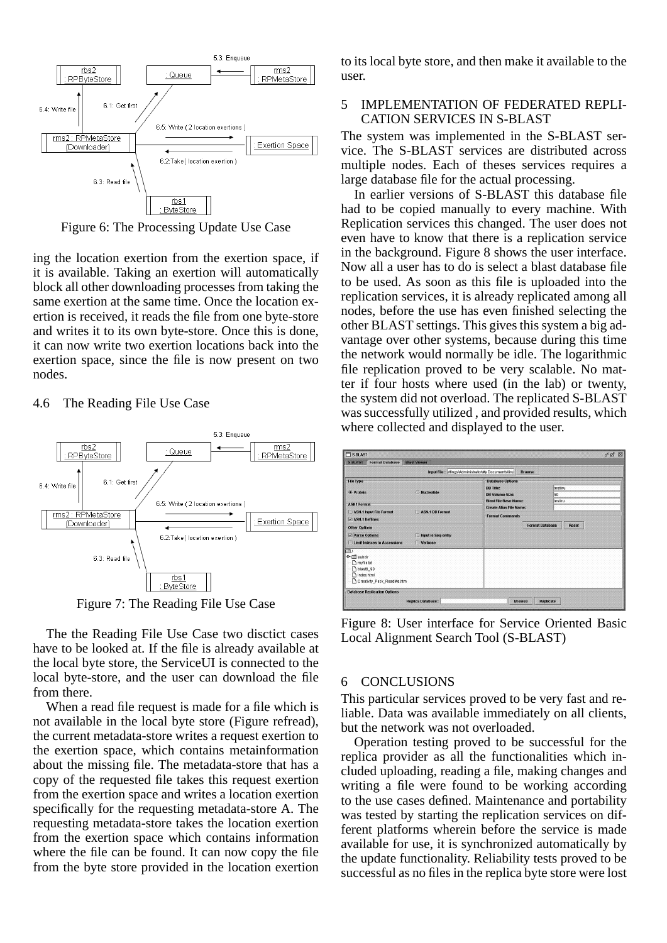

Figure 6: The Processing Update Use Case

ing the location exertion from the exertion space, if it is available. Taking an exertion will automatically block all other downloading processes from taking the same exertion at the same time. Once the location exertion is received, it reads the file from one byte-store and writes it to its own byte-store. Once this is done, it can now write two exertion locations back into the exertion space, since the file is now present on two nodes.

#### 4.6 The Reading File Use Case



Figure 7: The Reading File Use Case

The the Reading File Use Case two disctict cases have to be looked at. If the file is already available at the local byte store, the ServiceUI is connected to the local byte-store, and the user can download the file from there.

When a read file request is made for a file which is not available in the local byte store (Figure refread), the current metadata-store writes a request exertion to the exertion space, which contains metainformation about the missing file. The metadata-store that has a copy of the requested file takes this request exertion from the exertion space and writes a location exertion specifically for the requesting metadata-store A. The requesting metadata-store takes the location exertion from the exertion space which contains information where the file can be found. It can now copy the file from the byte store provided in the location exertion to its local byte store, and then make it available to the user.

# 5 IMPLEMENTATION OF FEDERATED REPLI-CATION SERVICES IN S-BLAST

The system was implemented in the S-BLAST service. The S-BLAST services are distributed across multiple nodes. Each of theses services requires a large database file for the actual processing.

In earlier versions of S-BLAST this database file had to be copied manually to every machine. With Replication services this changed. The user does not even have to know that there is a replication service in the background. Figure 8 shows the user interface. Now all a user has to do is select a blast database file to be used. As soon as this file is uploaded into the replication services, it is already replicated among all nodes, before the use has even finished selecting the other BLAST settings. This gives this system a big advantage over other systems, because during this time the network would normally be idle. The logarithmic file replication proved to be very scalable. No matter if four hosts where used (in the lab) or twenty, the system did not overload. The replicated S-BLAST was successfully utilized , and provided results, which where collected and displayed to the user.

| <b>FIS-BLAST</b>                                                                                             |                                                                                                                                                                     | $n^k$ $n^k$ $\Box$ |
|--------------------------------------------------------------------------------------------------------------|---------------------------------------------------------------------------------------------------------------------------------------------------------------------|--------------------|
| <b>S-BLAST</b><br><b>Format Database</b><br><b>Blast Viewer</b>                                              |                                                                                                                                                                     |                    |
|                                                                                                              | Input File: ettings\Administrator\My Documents\liru<br><b>Browse</b>                                                                                                |                    |
| <b>File Type</b><br><b>•</b> Protein<br>Nucleotide<br><b>ASN1 Format</b>                                     | <b>Database Options</b><br>testinu<br><b>DB Title:</b><br>50<br><b>DB Volume Size:</b><br><b>Blast File Base Name:</b><br>tesliru<br><b>Create Alias File Name:</b> |                    |
| ASN.1 Input File Format<br>ASN.1 DB Format<br>$V$ ASN 1 Deflines                                             | <b>Format Commands</b>                                                                                                                                              |                    |
| <b>Other Options</b><br>Parse Options<br>Input is Seq-entry<br><b>Limit Indexes to Accessions</b><br>Verbose | <b>Format Database</b><br><b>Reset</b>                                                                                                                              |                    |
| subdir<br>ь.<br>myfile.bt<br>blast6_90<br>index.html<br>Creativity_Pack_ReadMe.htm                           |                                                                                                                                                                     |                    |
| <b>Database Replication Options</b><br><b>Replica Database:</b>                                              | Replicate<br><b>Browse</b>                                                                                                                                          |                    |

Figure 8: User interface for Service Oriented Basic Local Alignment Search Tool (S-BLAST)

## 6 CONCLUSIONS

This particular services proved to be very fast and reliable. Data was available immediately on all clients, but the network was not overloaded.

Operation testing proved to be successful for the replica provider as all the functionalities which included uploading, reading a file, making changes and writing a file were found to be working according to the use cases defined. Maintenance and portability was tested by starting the replication services on different platforms wherein before the service is made available for use, it is synchronized automatically by the update functionality. Reliability tests proved to be successful as no files in the replica byte store were lost